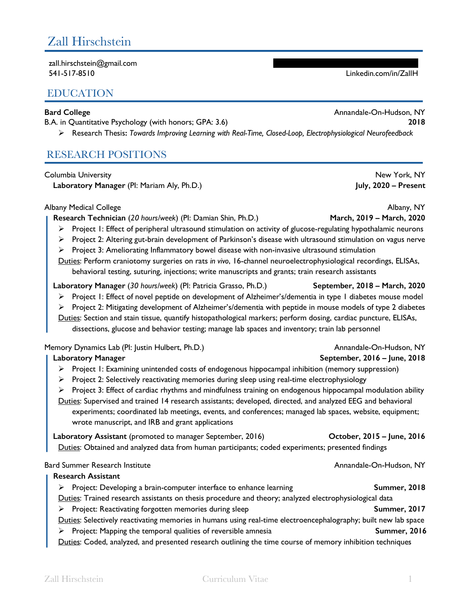# Zall Hirschstein

zall.hirschstein@gmail.com 541-517-8510 Linkedin.com/in/ZallH

#### EDUCATION

#### **Bard College** Annandale-On-Hudson, NY

B.A. in Quantitative Psychology (with honors; GPA: 3.6) **2018**

Ø Research Thesis**:** *Towards Improving Learning with Real-Time, Closed-Loop, Electrophysiological Neurofeedback*

Columbia University **New York, NY Laboratory Manager** (PI: Mariam Aly, Ph.D.) **July, 2020 – Present**

## RESEARCH POSITIONS

| Albany Medical College<br>Research Technician (20 hours/week) (PI: Damian Shin, Ph.D.)<br>Project 1: Effect of peripheral ultrasound stimulation on activity of glucose-regulating hypothalamic neurons<br>⋗<br>Project 2: Altering gut-brain development of Parkinson's disease with ultrasound stimulation on vagus nerve<br>➤<br>Project 3: Ameliorating Inflammatory bowel disease with non-invasive ultrasound stimulation<br>⋗<br>Duties: Perform craniotomy surgeries on rats in vivo, 16-channel neuroelectrophysiological recordings, ELISAs,<br>behavioral testing, suturing, injections; write manuscripts and grants; train research assistants                               | Albany, NY<br>March, 2019 - March, 2020                 |
|-------------------------------------------------------------------------------------------------------------------------------------------------------------------------------------------------------------------------------------------------------------------------------------------------------------------------------------------------------------------------------------------------------------------------------------------------------------------------------------------------------------------------------------------------------------------------------------------------------------------------------------------------------------------------------------------|---------------------------------------------------------|
| Laboratory Manager (30 hours/week) (PI: Patricia Grasso, Ph.D.)<br>Project I: Effect of novel peptide on development of Alzheimer's/dementia in type I diabetes mouse model<br>≻<br>Project 2: Mitigating development of Alzheimer's/dementia with peptide in mouse models of type 2 diabetes<br>⋗<br>Duties: Section and stain tissue, quantify histopathological markers; perform dosing, cardiac puncture, ELISAs,<br>dissections, glucose and behavior testing; manage lab spaces and inventory; train lab personnel                                                                                                                                                                  | September, 2018 - March, 2020                           |
| Memory Dynamics Lab (PI: Justin Hulbert, Ph.D.)<br><b>Laboratory Manager</b><br>Project 1: Examining unintended costs of endogenous hippocampal inhibition (memory suppression)<br>➤<br>Project 2: Selectively reactivating memories during sleep using real-time electrophysiology<br>⋗<br>Project 3: Effect of cardiac rhythms and mindfulness training on endogenous hippocampal modulation ability<br>⋗<br>Duties: Supervised and trained 14 research assistants; developed, directed, and analyzed EEG and behavioral<br>experiments; coordinated lab meetings, events, and conferences; managed lab spaces, website, equipment;<br>wrote manuscript, and IRB and grant applications | Annandale-On-Hudson, NY<br>September, 2016 - June, 2018 |
| Laboratory Assistant (promoted to manager September, 2016)<br>Duties: Obtained and analyzed data from human participants; coded experiments; presented findings                                                                                                                                                                                                                                                                                                                                                                                                                                                                                                                           | October, 2015 - June, 2016                              |
| Bard Summer Research Institute                                                                                                                                                                                                                                                                                                                                                                                                                                                                                                                                                                                                                                                            | Annandale-On-Hudson, NY                                 |
| <b>Research Assistant</b>                                                                                                                                                                                                                                                                                                                                                                                                                                                                                                                                                                                                                                                                 |                                                         |
| $\triangleright$ Project: Developing a brain-computer interface to enhance learning<br>Duties: Trained research assistants on thesis procedure and theory; analyzed electrophysiological data                                                                                                                                                                                                                                                                                                                                                                                                                                                                                             | <b>Summer, 2018</b>                                     |
| Project: Reactivating forgotten memories during sleep<br>➤                                                                                                                                                                                                                                                                                                                                                                                                                                                                                                                                                                                                                                | <b>Summer, 2017</b>                                     |
| Duties: Selectively reactivating memories in humans using real-time electroencephalography; built new lab space                                                                                                                                                                                                                                                                                                                                                                                                                                                                                                                                                                           |                                                         |
| Project: Mapping the temporal qualities of reversible amnesia<br>≻                                                                                                                                                                                                                                                                                                                                                                                                                                                                                                                                                                                                                        | <b>Summer, 2016</b>                                     |
| Duties: Coded, analyzed, and presented research outlining the time course of memory inhibition techniques                                                                                                                                                                                                                                                                                                                                                                                                                                                                                                                                                                                 |                                                         |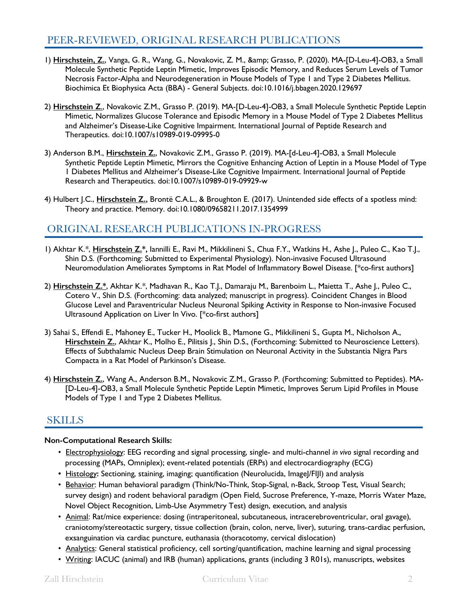## PEER-REVIEWED, ORIGINAL RESEARCH PUBLICATIONS

- 1) **Hirschstein, Z.**, Vanga, G. R., Wang, G., Novakovic, Z. M., & Grasso, P. (2020). MA-[D-Leu-4]-OB3, a Small Molecule Synthetic Peptide Leptin Mimetic, Improves Episodic Memory, and Reduces Serum Levels of Tumor Necrosis Factor-Alpha and Neurodegeneration in Mouse Models of Type 1 and Type 2 Diabetes Mellitus. Biochimica Et Biophysica Acta (BBA) - General Subjects. doi:10.1016/j.bbagen.2020.129697
- 2) **Hirschstein Z**., Novakovic Z.M., Grasso P. (2019). MA-[D-Leu-4]-OB3, a Small Molecule Synthetic Peptide Leptin Mimetic, Normalizes Glucose Tolerance and Episodic Memory in a Mouse Model of Type 2 Diabetes Mellitus and Alzheimer's Disease-Like Cognitive Impairment. International Journal of Peptide Research and Therapeutics. doi:10.1007/s10989-019-09995-0
- 3) Anderson B.M., **Hirschstein Z.**, Novakovic Z.M., Grasso P. (2019). MA-[d-Leu-4]-OB3, a Small Molecule Synthetic Peptide Leptin Mimetic, Mirrors the Cognitive Enhancing Action of Leptin in a Mouse Model of Type 1 Diabetes Mellitus and Alzheimer's Disease-Like Cognitive Impairment. International Journal of Peptide Research and Therapeutics. doi:10.1007/s10989-019-09929-w
- 4) Hulbert J.C., **Hirschstein Z.,** Brontë C.A.L., & Broughton E. (2017). Unintended side effects of a spotless mind: Theory and practice. Memory. doi:10.1080/09658211.2017.1354999

#### ORIGINAL RESEARCH PUBLICATIONS IN-PROGRESS

- 1) Akhtar K.\*, **Hirschstein Z.\*,** Iannilli E., Ravi M., Mikkilineni S., Chua F.Y., Watkins H., Ashe J., Puleo C., Kao T.J., Shin D.S. (Forthcoming: Submitted to Experimental Physiology). Non-invasive Focused Ultrasound Neuromodulation Ameliorates Symptoms in Rat Model of Inflammatory Bowel Disease. [\*co-first authors]
- 2) **Hirschstein Z.\***, Akhtar K.\*, Madhavan R., Kao T.J., Damaraju M., Barenboim L., Maietta T., Ashe J., Puleo C., Cotero V., Shin D.S. (Forthcoming: data analyzed; manuscript in progress). Coincident Changes in Blood Glucose Level and Paraventricular Nucleus Neuronal Spiking Activity in Response to Non-invasive Focused Ultrasound Application on Liver In Vivo. [\*co-first authors]
- 3) Sahai S., Effendi E., Mahoney E., Tucker H., Moolick B., Mamone G., Mikkilineni S., Gupta M., Nicholson A., **Hirschstein Z.**, Akhtar K., Molho E., Pilitsis J., Shin D.S., (Forthcoming: Submitted to Neuroscience Letters). Effects of Subthalamic Nucleus Deep Brain Stimulation on Neuronal Activity in the Substantia Nigra Pars Compacta in a Rat Model of Parkinson's Disease.
- 4) **Hirschstein Z.**, Wang A., Anderson B.M., Novakovic Z.M., Grasso P. (Forthcoming: Submitted to Peptides). MA- [D-Leu-4]-OB3, a Small Molecule Synthetic Peptide Leptin Mimetic, Improves Serum Lipid Profiles in Mouse Models of Type 1 and Type 2 Diabetes Mellitus.

#### **SKILLS**

#### **Non-Computational Research Skills:**

- Electrophysiology: EEG recording and signal processing, single- and multi-channel *in vivo* signal recording and processing (MAPs, Omniplex); event-related potentials (ERPs) and electrocardiography (ECG)
- Histology: Sectioning, staining, imaging; quantification (Neurolucida, ImageJ/FIJI) and analysis
- Behavior: Human behavioral paradigm (Think/No-Think, Stop-Signal, n-Back, Stroop Test, Visual Search; survey design) and rodent behavioral paradigm (Open Field, Sucrose Preference, Y-maze, Morris Water Maze, Novel Object Recognition, Limb-Use Asymmetry Test) design, execution, and analysis
- Animal: Rat/mice experience: dosing (intraperitoneal, subcutaneous, intracerebroventricular, oral gavage), craniotomy/stereotactic surgery, tissue collection (brain, colon, nerve, liver), suturing, trans-cardiac perfusion, exsanguination via cardiac puncture, euthanasia (thoracotomy, cervical dislocation)
- Analytics: General statistical proficiency, cell sorting/quantification, machine learning and signal processing
- Writing: IACUC (animal) and IRB (human) applications, grants (including 3 R01s), manuscripts, websites